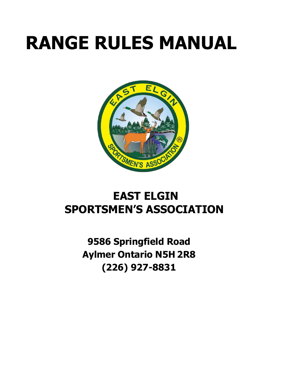# **RANGE RULES MANUAL**



# **EAST ELGIN SPORTSMEN'S ASSOCIATION**

**9586 Springfield Road Aylmer Ontario N5H 2R8 (226) 927-8831**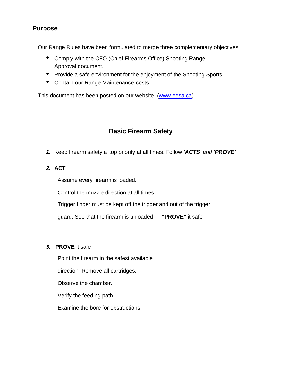# **Purpose**

Our Range Rules have been formulated to merge three complementary objectives:

- Comply with the CFO (Chief Firearms Office) Shooting Range Approval document.
- Provide a safe environment for the enjoyment of the Shooting Sports
- Contain our Range Maintenance costs

This document has been posted on our website. (www.eesa.ca)

# **Basic Firearm Safety**

- *1.* Keep firearm safety a top priority at all times. Follow *'ACTS' and 'PROVE'*
- *2.* **ACT**

Assume every firearm is loaded.

Control the muzzle direction at all times.

Trigger finger must be kept off the trigger and out of the trigger

guard. See that the firearm is unloaded — **"PROVE"** it safe

#### *3.* **PROVE** it safe

Point the firearm in the safest available

direction. Remove all cartridges.

Observe the chamber.

Verify the feeding path

Examine the bore for obstructions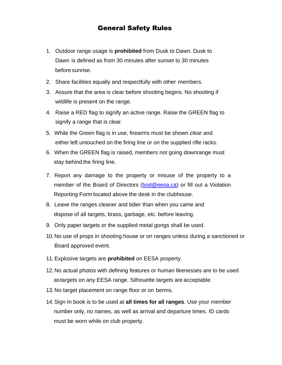# General Safety Rules

- 1. Outdoor range usage is **prohibited** from Dusk to Dawn. Dusk to Dawn is defined as from 30 minutes after sunset to 30 minutes before sunrise.
- 2. Share facilities equally and respectfully with other members.
- 3. Assure that the area is clear before shooting begins. No shooting if wildlife is present on the range.
- 4. Raise a RED flag to signify an active range. Raise the GREEN flag to signify a range that is clear.
- 5. While the Green flag is in use, firearms must be shown clear and either left untouched on the firing line or on the supplied rifle racks.
- 6. When the GREEN flag is raised, members not going downrange must stay behind the firing line.
- 7. Report any damage to the property or misuse of the property to a member of the Board of Directors (bod@eesa.ca) or fill out a Violation Reporting Form located above the desk in the clubhouse.
- 8. Leave the ranges cleaner and tidier than when you came and dispose of all targets, brass, garbage, etc. before leaving.
- 9. Only paper targets or the supplied metal gongs shall be used.
- 10. No use of props in shooting house or on ranges unless during a sanctioned or Board approved event.
- 11.Explosive targets are **prohibited** on EESA property.
- 12. No actual photos with defining features or human likenesses are to be used astargets on any EESA range. Silhouette targets are acceptable.
- 13. No target placement on range floor or on berms.
- 14.Sign In book is to be used at **all times for all ranges**. Use your member number only, no names, as well as arrival and departure times. ID cards must be worn while on club property.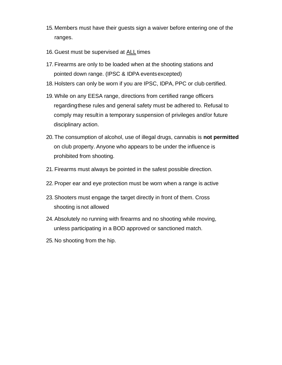- 15. Members must have their guests sign a waiver before entering one of the ranges.
- 16. Guest must be supervised at ALL times
- 17. Firearms are only to be loaded when at the shooting stations and pointed down range. (IPSC & IDPA eventsexcepted)
- 18. Holsters can only be worn if you are IPSC, IDPA, PPC or club certified.
- 19. While on any EESA range, directions from certified range officers regardingthese rules and general safety must be adhered to. Refusal to comply may resultin a temporary suspension of privileges and/or future disciplinary action.
- 20. The consumption of alcohol, use of illegal drugs, cannabis is **not permitted** on club property. Anyone who appears to be under the influence is prohibited from shooting.
- 21. Firearms must always be pointed in the safest possible direction.
- 22.Proper ear and eye protection must be worn when a range is active
- 23.Shooters must engage the target directly in front of them. Cross shooting is not allowed
- 24.Absolutely no running with firearms and no shooting while moving, unless participating in a BOD approved or sanctioned match.
- 25. No shooting from the hip.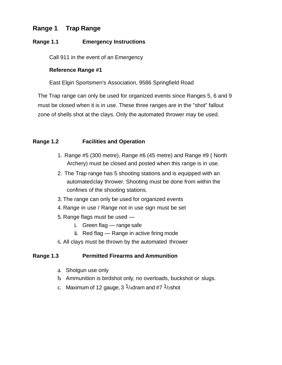# **Range 1 Trap Range**

#### **Range 1.1 Emergency Instructions**

Call 911 in the event of an Emergency

#### **Reference Range #1**

East Elgin Sportsmen's Association, 9586 Springfield Road

The Trap range can only be used for organized events since Ranges 5, 6 and 9 must be closed when it is in use. These three ranges are in the "shot" fallout zone of shells shot at the clays. Only the automated thrower may be used.

#### **Range 1.2 Facilities and Operation**

- 1. Range #5 (300 metre), Range #6 (45 metre) and Range #9 ( North Archery) must be closed and posted when this range is in use.
- 2. The Trap range has 5 shooting stations and is equipped with an automatedclay thrower. Shooting must be done from within the confines of the shooting stations.
- 3. The range can only be used for organized events
- 4. Range in use / Range not in use sign must be set
- 5. Range flags must be used
	- i. Green flag range safe
	- ii. Red flag Range in active firing mode
- 6. All clays must be thrown by the automated thrower

#### **Range 1.3 Permitted Firearms and Ammunition**

- a. Shotgun use only
- b. Ammunition is birdshot only, no overloads, buckshot or slugs.
- c. Maximum of 12 gauge,  $3 \frac{1}{4}$ dram and #7  $\frac{1}{2}$ shot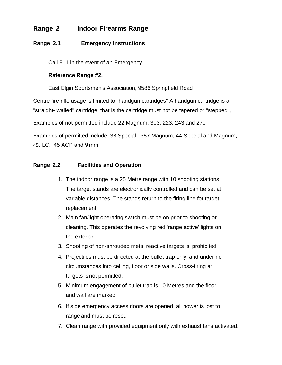# **Range 2 Indoor Firearms Range**

#### **Range 2.1 Emergency Instructions**

Call 911 in the event of an Emergency

#### **Reference Range #2,**

East Elgin Sportsmen's Association, 9586 Springfield Road

Centre fire rifle usage is limited to "handgun cartridges" A handgun cartridge is a

"straight- walled" cartridge; that is the cartridge must not be tapered or "stepped",

Examples of not-permitted include 22 Magnum, 303, 223, 243 and 270

Examples of permitted include .38 Special, .357 Magnum, 44 Special and Magnum, 45. LC, .45 ACP and 9 mm

#### **Range 2.2 Facilities and Operation**

- 1. The indoor range is a 25 Metre range with 10 shooting stations. The target stands are electronically controlled and can be set at variable distances. The stands return to the firing line for target replacement.
- 2. Main fan/light operating switch must be on prior to shooting or cleaning. This operates the revolving red 'range active' lights on the exterior
- 3. Shooting of non-shrouded metal reactive targets is prohibited
- 4. Projectiles must be directed at the bullet trap only, and under no circumstances into ceiling, floor or side walls. Cross-firing at targets is not permitted.
- 5. Minimum engagement of bullet trap is 10 Metres and the floor and wall are marked.
- 6. If side emergency access doors are opened, all power is lost to range and must be reset.
- 7. Clean range with provided equipment only with exhaust fans activated.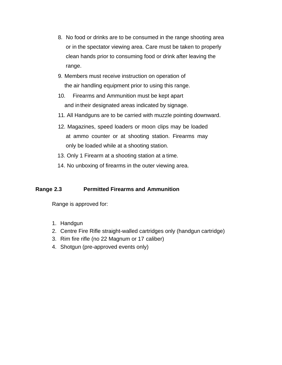- 8. No food or drinks are to be consumed in the range shooting area or in the spectator viewing area. Care must be taken to properly clean hands prior to consuming food or drink after leaving the range.
- 9. Members must receive instruction on operation of the air handling equipment prior to using this range.
- 10. Firearms and Ammunition must be kept apart and intheir designated areas indicated by signage.
- 11. All Handguns are to be carried with muzzle pointing downward.
- 12. Magazines, speed loaders or moon clips may be loaded at ammo counter or at shooting station. Firearms may only be loaded while at a shooting station.
- 13. Only 1 Firearm at a shooting station at a time.
- 14. No unboxing of firearms in the outer viewing area.

#### **Range 2.3 Permitted Firearms and Ammunition**

Range is approved for:

- 1. Handgun
- 2. Centre Fire Rifle straight-walled cartridges only (handgun cartridge)
- 3. Rim fire rifle (no 22 Magnum or 17 caliber)
- 4. Shotgun (pre-approved events only)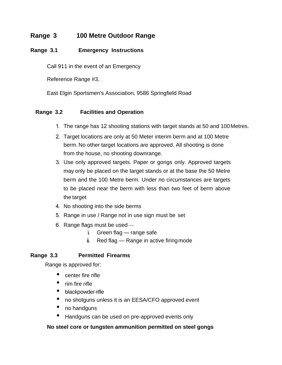# **Range 3 100 Metre Outdoor Range**

#### **Range 3.1 Emergency Instructions**

Call 911 in the event of an Emergency

Reference Range #3,

East Elgin Sportsmen's Association, 9586 Springfield Road

#### **Range 3.2 Facilities and Operation**

- 1. The range has 12 shooting stations with target stands at 50 and 100 Metres.
- 2. Target locations are only at 50 Meter interim berm and at 100 Metre berm. No other target locations are approved. All shooting is done from the house, no shooting downrange.
- 3. Use only approved targets. Paper or gongs only. Approved targets may only be placed on the target stands or at the base the 50 Metre berm and the 100 Metre berm. Under no circumstances are targets to be placed near the berm with less than two feet of berm above the target
- 4. No shooting into the side berms
- 5. Range in use / Range not in use sign must be set
- 6. Range flags must be used
	- i. Green flag range safe
	- ii. Red flag Range in active firing mode

#### **Range 3.3 Permitted Firearms**

Range is approved for:

- center fire rifle
- rim fire rifle
- blackpowder rifle
- no shotguns unless it is an EESA/CFO approved event
- no handguns
- Handguns can be used on pre-approved events only

#### **No steel core or tungsten ammunition permitted on steel gongs**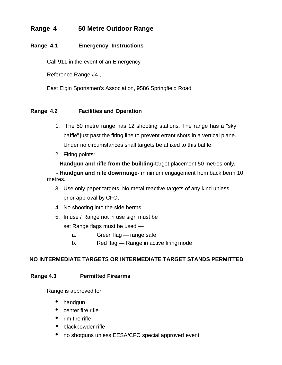# **Range 4 50 Metre Outdoor Range**

#### **Range 4.1 Emergency Instructions**

Call 911 in the event of an Emergency

Reference Range #4 ,

East Elgin Sportsmen's Association, 9586 Springfield Road

#### **Range 4.2 Facilities and Operation**

- 1. The 50 metre range has 12 shooting stations. The range has a "sky baffle" just past the firing line to prevent errant shots in a vertical plane. Under no circumstances shall targets be affixed to this baffle.
- 2. Firing points:
- **Handgun and rifle from the building-**target placement 50 metres only**.**

 **- Handgun and rifle downrange-** minimum engagement from back berm 10 metres.

- 3. Use only paper targets. No metal reactive targets of any kind unless prior approval by CFO.
- 4. No shooting into the side berms
- 5. In use / Range not in use sign must be set Range flags must be used
	- a. Green flag range safe
	- b. Red flag Range in active firing mode

#### **NO INTERMEDIATE TARGETS OR INTERMEDIATE TARGET STANDS PERMITTED**

#### **Range 4.3 Permitted Firearms**

Range is approved for:

- handgun
- center fire rifle
- rim fire rifle
- blackpowder rifle
- no shotguns unless EESA/CFO special approved event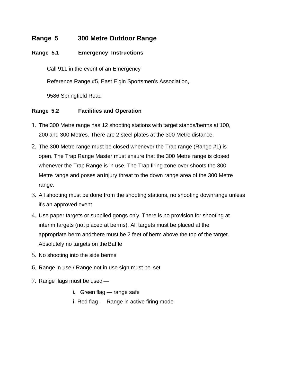# **Range 5 300 Metre Outdoor Range**

#### **Range 5.1 Emergency Instructions**

Call 911 in the event of an Emergency

Reference Range #5, East Elgin Sportsmen's Association,

9586 Springfield Road

#### **Range 5.2 Facilities and Operation**

- 1. The 300 Metre range has 12 shooting stations with target stands/berms at 100, 200 and 300 Metres. There are 2 steel plates at the 300 Metre distance.
- 2. The 300 Metre range must be closed whenever the Trap range (Range #1) is open. The Trap Range Master must ensure that the 300 Metre range is closed whenever the Trap Range is in use. The Trap firing zone over shoots the 300 Metre range and poses an injury threat to the down range area of the 300 Metre range.
- 3. All shooting must be done from the shooting stations, no shooting downrange unless it's an approved event.
- 4. Use paper targets or supplied gongs only. There is no provision for shooting at interim targets (not placed at berms). All targets must be placed at the appropriate berm andthere must be 2 feet of berm above the top of the target. Absolutely no targets on the Baffle
- 5. No shooting into the side berms
- 6. Range in use / Range not in use sign must be set
- 7. Range flags must be used
	- i. Green flag range safe
	- **i**. Red flag Range in active firing mode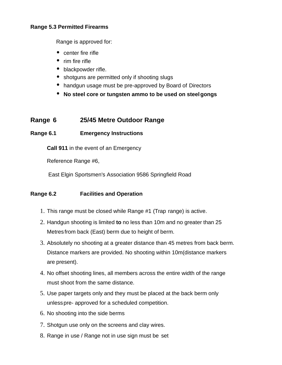#### **Range 5.3 Permitted Firearms**

Range is approved for:

- center fire rifle
- rim fire rifle
- blackpowder rifle.
- shotguns are permitted only if shooting slugs
- handgun usage must be pre-approved by Board of Directors
- **No steel core or tungsten ammo to be used on steelgongs**

# **Range 6 25/45 Metre Outdoor Range**

#### **Range 6.1 Emergency Instructions**

**Call 911** in the event of an Emergency

Reference Range #6,

East Elgin Sportsmen's Association 9586 Springfield Road

#### **Range 6.2 Facilities and Operation**

- 1. This range must be closed while Range #1 (Trap range) is active.
- 2. Handgun shooting is limited **to** no less than 10m and no greater than 25 Metres from back (East) berm due to height of berm.
- 3. Absolutely no shooting at a greater distance than 45 metres from back berm. Distance markers are provided. No shooting within 10m(distance markers are present).
- 4. No offset shooting lines, all members across the entire width of the range must shoot from the same distance.
- 5. Use paper targets only and they must be placed at the back berm only unlesspre- approved for a scheduled competition.
- 6. No shooting into the side berms
- 7. Shotgun use only on the screens and clay wires.
- 8. Range in use / Range not in use sign must be set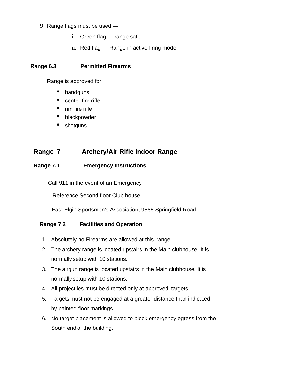#### 9. Range flags must be used —

- i. Green flag range safe
- ii. Red flag Range in active firing mode

#### **Range 6.3 Permitted Firearms**

Range is approved for:

- handguns
- center fire rifle
- rim fire rifle
- blackpowder
- shotguns

# **Range 7 Archery/Air Rifle Indoor Range**

#### **Range 7.1 Emergency Instructions**

Call 911 in the event of an Emergency

Reference Second floor Club house,

East Elgin Sportsmen's Association, 9586 Springfield Road

#### **Range 7.2 Facilities and Operation**

- 1. Absolutely no Firearms are allowed at this range
- 2. The archery range is located upstairs in the Main clubhouse. It is normally setup with 10 stations.
- 3. The airgun range is located upstairs in the Main clubhouse. It is normally setup with 10 stations.
- 4. All projectiles must be directed only at approved targets.
- 5. Targets must not be engaged at a greater distance than indicated by painted floor markings.
- 6. No target placement is allowed to block emergency egress from the South end of the building.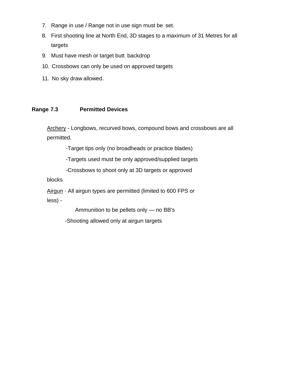- 7. Range in use / Range not in use sign must be set.
- 8. First shooting line at North End, 3D stages to a maximum of 31 Metres for all targets
- 9. Must have mesh or target butt backdrop
- 10. Crossbows can only be used on approved targets
- 11. No sky draw allowed.

#### **Range 7.3 Permitted Devices**

Archery - Longbows, recurved bows, compound bows and crossbows are all permitted.

-Target tips only (no broadheads or practice blades)

-Targets used must be only approved/supplied targets

-Crossbows to shoot only at 3D targets or approved

blocks

Airgun - All airgun types are permitted (limited to 600 FPS or less) -

Ammunition to be pellets only — no BB's

-Shooting allowed only at airgun targets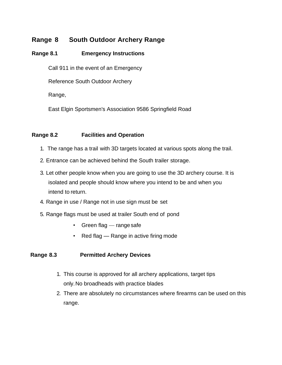# **Range 8 South Outdoor Archery Range**

### **Range 8.1 Emergency Instructions**

Call 911 in the event of an Emergency

Reference South Outdoor Archery

Range,

East Elgin Sportsmen's Association 9586 Springfield Road

#### **Range 8.2 Facilities and Operation**

- 1. The range has a trail with 3D targets located at various spots along the trail.
- 2. Entrance can be achieved behind the South trailer storage.
- 3. Let other people know when you are going to use the 3D archery course. It is isolated and people should know where you intend to be and when you intend to return.
- 4. Range in use / Range not in use sign must be set
- 5. Range flags must be used at trailer South end of pond
	- Green flag range safe
	- Red flag Range in active firing mode

#### **Range 8.3 Permitted Archery Devices**

- 1. This course is approved for all archery applications, target tips only.No broadheads with practice blades
- 2. There are absolutely no circumstances where firearms can be used on this range.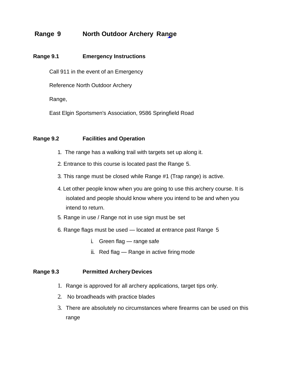# **Range 9 North Outdoor Archery Range**

#### **Range 9.1 Emergency Instructions**

Call 911 in the event of an Emergency

Reference North Outdoor Archery

Range,

East Elgin Sportsmen's Association, 9586 Springfield Road

#### **Range 9.2 Facilities and Operation**

- 1. The range has a walking trail with targets set up along it.
- 2. Entrance to this course is located past the Range 5.
- 3. This range must be closed while Range #1 (Trap range) is active.
- 4. Let other people know when you are going to use this archery course. It is isolated and people should know where you intend to be and when you intend to return.
- 5. Range in use / Range not in use sign must be set
- 6. Range flags must be used located at entrance past Range 5
	- i. Green flag range safe
	- ii. Red flag Range in active firing mode

#### **Range 9.3 Permitted Archery Devices**

- 1. Range is approved for all archery applications, target tips only.
- 2. No broadheads with practice blades
- 3. There are absolutely no circumstances where firearms can be used on this range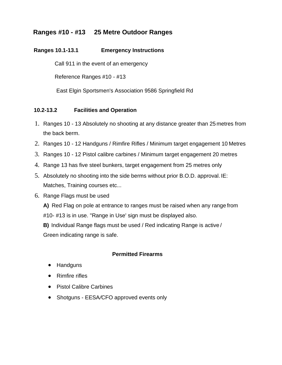# **Ranges #10 -** *#***13 25 Metre Outdoor Ranges**

#### **Ranges 10.1-13.1 Emergency Instructions**

Call 911 in the event of an emergency

Reference Ranges #10 - #13

East Elgin Sportsmen's Association 9586 Springfield Rd

#### **10.2-13.2 Facilities and Operation**

- 1. Ranges 10 13 Absolutely no shooting at any distance greater than 25 metres from the back berm.
- 2. Ranges 10 12 Handguns / Rimfire Rifles / Minimum target engagement 10 Metres
- 3. Ranges 10 12 Pistol calibre carbines / Minimum target engagement 20 metres
- 4. Range 13 has five steel bunkers, target engagement from 25 metres only
- 5. Absolutely no shooting into the side berms without prior B.O.D. approval. IE: Matches, Training courses etc...
- 6. Range Flags must be used
	- **A)** Red Flag on pole at entrance to ranges must be raised when any range from #10- #13 is in use. "Range in Use' sign must be displayed also.

**B)** Individual Range flags must be used / Red indicating Range is active / Green indicating range is safe.

#### **Permitted Firearms**

- Handguns
- Rimfire rifles
- Pistol Calibre Carbines
- Shotguns EESA*/*CFO approved events only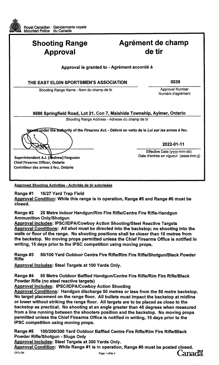| Royal Canadian Gendarmerie royale<br>Mounted Police du Canada |                                                                                                                   |
|---------------------------------------------------------------|-------------------------------------------------------------------------------------------------------------------|
| <b>Shooting Range</b><br><b>Approval</b>                      | Agrément de champ<br>de tir                                                                                       |
|                                                               | Approval is granted to - Agrément accordé à                                                                       |
| THE EAST ELGIN SPORTSMEN'S ASSOCIATION                        | 0039                                                                                                              |
| Shooting Range Name - Nom du champ de tir                     | Approval Number<br>Numéro d'agrément                                                                              |
|                                                               | 9586 Springfield Road, Lot 21, Con 7, Malahide Township, Aylmer, Ontario                                          |
|                                                               | Shooting Range Address - Adresse du champ de tir                                                                  |
|                                                               | Issued under the authority of the <i>Firearms Act</i> . - Délivré en vertu de la <i>Loi sur les armes à feu</i> . |
|                                                               | 2022-01-11                                                                                                        |
|                                                               | Effective Date (yyyy-mm-dd)                                                                                       |
| Superintendent A.J. (Andrew) Ferguson                         | Date d'entrée en vigueur (aaaa-mm-jj)                                                                             |
| <b>Chief Firearms Officer, Ontario</b>                        |                                                                                                                   |

Approved Shooting Activities - Activités de tir autorisées

16/27 Yard Trap Field Range #1

Contrôleur des armes à feu, Ontario

Œ

Approval Condition: While this range is in operation, Range #5 and Range #6 must be closed.

**Range #2** 25 Metre Indoor Handgun/Rim Fire Rifle/Centre Fire Rifle-Handgun **Ammunition Only/Shotgun** 

**Approval Includes: IPSC/IDPA/Cowboy Action Shooting/Steel Reactive Targets** Approval Conditions: All shot must be directed into the backstop; no shooting into the walls or floor of the range. No shooting positions shall be closer than 10 metres from the backstop. No moving props permitted unless the Chief Firearms Office is notified in writing, 15 days prior to the IPSC competition using moving props.

Range #3 50/100 Yard Outdoor Centre Fire Rifle/Rim Fire Rifle/Shotgun/Black Powder **Rifle** 

Approval Includes: Steel Targets at 100 Yards Only.

Range #4 50 Metre Outdoor Baffled Handgun/Centre Fire Rifle/Rim Fire Rifle/Black Powder Rifle (no steel reactive targets)

**Approval Includes: IPSC/IDPA/Cowboy Action Shooting** 

Approval Conditions: Handgun discharge 50 metres or less from the 50 metre backstop. No target placement on the range floor. All bullets must impact the backstop at midline or lower without striking the range floor. All targets are to be placed as close to the backstop as practical. No shooting at an angle greater than 45 degrees when measured from a line running between the shooters position and the backstop. No moving props permitted unless the Chief Firearms Office is notified in writing, 15 days prior to the IPSC competition using moving props.

Range #5 100/200/300 Yard Outdoor Baffled Centre Fire Rifle/Rim Fire Rifle/Black Powder Rifle/Shotgun - Slugs Only

**Approval Includes: Steel Targets at 300 Yards Only.** 

Approval Condition: While Range #1 is in operation, Range #5 must be posted closed. **Canadä** CFO ON Page 1 of/de 3